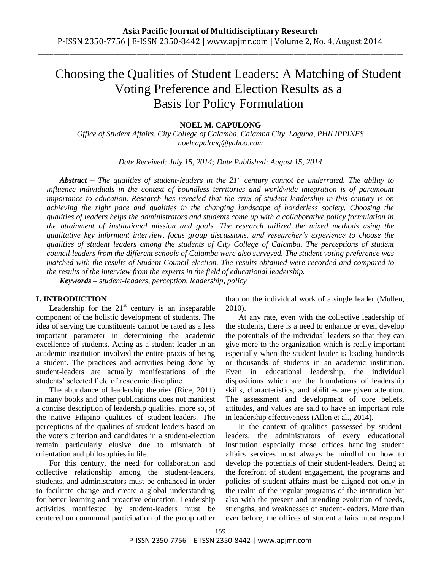\_\_\_\_\_\_\_\_\_\_\_\_\_\_\_\_\_\_\_\_\_\_\_\_\_\_\_\_\_\_\_\_\_\_\_\_\_\_\_\_\_\_\_\_\_\_\_\_\_\_\_\_\_\_\_\_\_\_\_\_\_\_\_\_\_\_\_\_\_\_\_\_\_\_\_\_\_\_\_\_\_\_\_\_\_\_\_\_\_\_\_\_\_\_\_\_\_\_\_\_\_\_\_\_\_\_\_\_\_\_\_\_\_\_

# Choosing the Qualities of Student Leaders: A Matching of Student Voting Preference and Election Results as a Basis for Policy Formulation

# **NOEL M. CAPULONG**

*Office of Student Affairs, City College of Calamba, Calamba City, Laguna, PHILIPPINES [noelcapulong@yahoo.com](mailto:noelcapulong@yahoo.com)*

*Date Received: July 15, 2014; Date Published: August 15, 2014*

*Abstract – The qualities of student-leaders in the 21st century cannot be underrated. The ability to influence individuals in the context of boundless territories and worldwide integration is of paramount importance to education. Research has revealed that the crux of student leadership in this century is on achieving the right pace and qualities in the changing landscape of borderless society. Choosing the qualities of leaders helps the administrators and students come up with a collaborative policy formulation in the attainment of institutional mission and goals. The research utilized the mixed methods using the qualitative key informant interview, focus group discussions, and researcher's experience to choose the qualities of student leaders among the students of City College of Calamba. The perceptions of student council leaders from the different schools of Calamba were also surveyed. The student voting preference was matched with the results of Student Council election. The results obtained were recorded and compared to the results of the interview from the experts in the field of educational leadership.* 

*Keywords – student-leaders, perception, leadership, policy*

## **I. INTRODUCTION**

Leadership for the  $21<sup>st</sup>$  century is an inseparable component of the holistic development of students. The idea of serving the constituents cannot be rated as a less important parameter in determining the academic excellence of students. Acting as a student-leader in an academic institution involved the entire praxis of being a student. The practices and activities being done by student-leaders are actually manifestations of the students' selected field of academic discipline.

The abundance of leadership theories (Rice, 2011) in many books and other publications does not manifest a concise description of leadership qualities, more so, of the native Filipino qualities of student-leaders. The perceptions of the qualities of student-leaders based on the voters criterion and candidates in a student-election remain particularly elusive due to mismatch of orientation and philosophies in life.

For this century, the need for collaboration and collective relationship among the student-leaders, students, and administrators must be enhanced in order to facilitate change and create a global understanding for better learning and proactive education. Leadership activities manifested by student-leaders must be centered on communal participation of the group rather than on the individual work of a single leader (Mullen, 2010).

At any rate, even with the collective leadership of the students, there is a need to enhance or even develop the potentials of the individual leaders so that they can give more to the organization which is really important especially when the student-leader is leading hundreds or thousands of students in an academic institution. Even in educational leadership, the individual dispositions which are the foundations of leadership skills, characteristics, and abilities are given attention. The assessment and development of core beliefs, attitudes, and values are said to have an important role in leadership effectiveness (Allen et al., 2014).

In the context of qualities possessed by studentleaders, the administrators of every educational institution especially those offices handling student affairs services must always be mindful on how to develop the potentials of their student-leaders. Being at the forefront of student engagement, the programs and policies of student affairs must be aligned not only in the realm of the regular programs of the institution but also with the present and unending evolution of needs, strengths, and weaknesses of student-leaders. More than ever before, the offices of student affairs must respond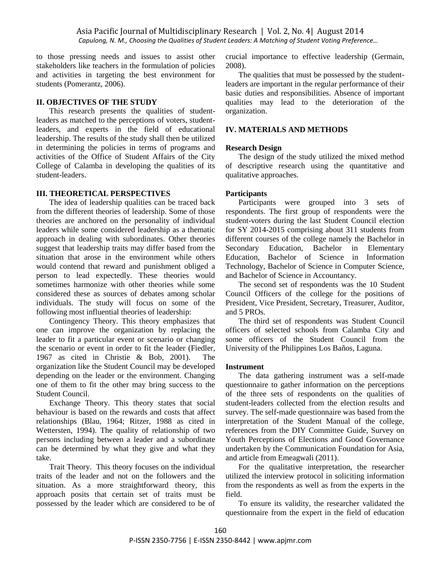to those pressing needs and issues to assist other stakeholders like teachers in the formulation of policies and activities in targeting the best environment for students (Pomerantz, 2006).

#### **II. OBJECTIVES OF THE STUDY**

This research presents the qualities of studentleaders as matched to the perceptions of voters, studentleaders, and experts in the field of educational leadership. The results of the study shall then be utilized in determining the policies in terms of programs and activities of the Office of Student Affairs of the City College of Calamba in developing the qualities of its student-leaders.

#### **III. THEORETICAL PERSPECTIVES**

The idea of leadership qualities can be traced back from the different theories of leadership. Some of those theories are anchored on the personality of individual leaders while some considered leadership as a thematic approach in dealing with subordinates. Other theories suggest that leadership traits may differ based from the situation that arose in the environment while others would contend that reward and punishment obliged a person to lead expectedly. These theories would sometimes harmonize with other theories while some considered these as sources of debates among scholar individuals. The study will focus on some of the following most influential theories of leadership:

Contingency Theory. This theory emphasizes that one can improve the organization by replacing the leader to fit a particular event or scenario or changing the scenario or event in order to fit the leader (Fiedler, 1967 as cited in Christie & Bob, 2001). The organization like the Student Council may be developed depending on the leader or the environment. Changing one of them to fit the other may bring success to the Student Council.

Exchange Theory. This theory states that social behaviour is based on the rewards and costs that affect relationships (Blau, 1964; Ritzer, 1988 as cited in Wettersten, 1994). The quality of relationship of two persons including between a leader and a subordinate can be determined by what they give and what they take.

Trait Theory. This theory focuses on the individual traits of the leader and not on the followers and the situation. As a more straightforward theory, this approach posits that certain set of traits must be possessed by the leader which are considered to be of crucial importance to effective leadership (Germain, 2008).

The qualities that must be possessed by the studentleaders are important in the regular performance of their basic duties and responsibilities. Absence of important qualities may lead to the deterioration of the organization.

#### **IV. MATERIALS AND METHODS**

#### **Research Design**

The design of the study utilized the mixed method of descriptive research using the quantitative and qualitative approaches.

#### **Participants**

Participants were grouped into 3 sets of respondents. The first group of respondents were the student-voters during the last Student Council election for SY 2014-2015 comprising about 311 students from different courses of the college namely the Bachelor in Secondary Education, Bachelor in Elementary Education, Bachelor of Science in Information Technology, Bachelor of Science in Computer Science, and Bachelor of Science in Accountancy.

The second set of respondents was the 10 Student Council Officers of the college for the positions of President, Vice President, Secretary, Treasurer, Auditor, and 5 PROs.

The third set of respondents was Student Council officers of selected schools from Calamba City and some officers of the Student Council from the University of the Philippines Los Baños, Laguna.

#### **Instrument**

The data gathering instrument was a self-made questionnaire to gather information on the perceptions of the three sets of respondents on the qualities of student-leaders collected from the election results and survey. The self-made questionnaire was based from the interpretation of the Student Manual of the college, references from the DIY Committee Guide, Survey on Youth Perceptions of Elections and Good Governance undertaken by the Communication Foundation for Asia, and article from Emeagwali (2011).

For the qualitative interpretation, the researcher utilized the interview protocol in soliciting information from the respondents as well as from the experts in the field.

To ensure its validity, the researcher validated the questionnaire from the expert in the field of education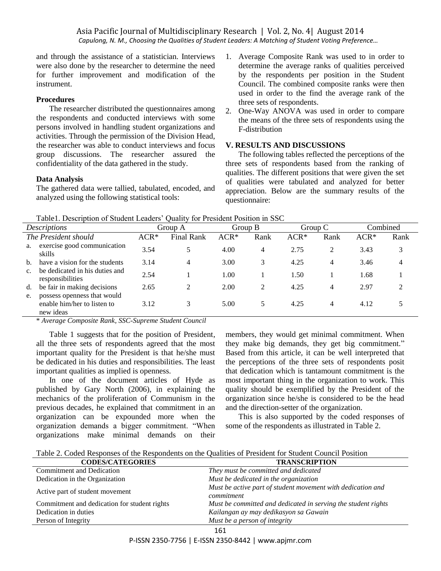and through the assistance of a statistician. Interviews were also done by the researcher to determine the need for further improvement and modification of the instrument.

# **Procedures**

The researcher distributed the questionnaires among the respondents and conducted interviews with some persons involved in handling student organizations and activities. Through the permission of the Division Head, the researcher was able to conduct interviews and focus group discussions. The researcher assured the confidentiality of the data gathered in the study.

## **Data Analysis**

The gathered data were tallied, tabulated, encoded, and analyzed using the following statistical tools:

- 1. Average Composite Rank was used to in order to determine the average ranks of qualities perceived by the respondents per position in the Student Council. The combined composite ranks were then used in order to the find the average rank of the three sets of respondents.
- 2. One-Way ANOVA was used in order to compare the means of the three sets of respondents using the F-distribution

# **V. RESULTS AND DISCUSSIONS**

The following tables reflected the perceptions of the three sets of respondents based from the ranking of qualities. The different positions that were given the set of qualities were tabulated and analyzed for better appreciation. Below are the summary results of the questionnaire:

| Table1. Description of Student Leaders' Quality for President Position in SSC |  |  |
|-------------------------------------------------------------------------------|--|--|
|                                                                               |  |  |

|                |                                                                         | Tuolet, Beschipmen et Biugeni Beugelb<br>$\sim$ www.e<br>TOT TTOSIGOINT CONTOIT IN DDO |                             |         |                |         |      |          |      |
|----------------|-------------------------------------------------------------------------|----------------------------------------------------------------------------------------|-----------------------------|---------|----------------|---------|------|----------|------|
|                | Descriptions                                                            |                                                                                        | Group A                     | Group B |                | Group C |      | Combined |      |
|                | The President should                                                    | $ACR*$                                                                                 | <b>Final Rank</b>           | $ACR*$  | Rank           | $ACR*$  | Rank | $ACR*$   | Rank |
| a.             | exercise good communication<br>skills                                   | 3.54                                                                                   |                             | 4.00    | 4              | 2.75    | 2    | 3.43     | 3    |
| b.             | have a vision for the students                                          | 3.14                                                                                   | 4                           | 3.00    | 3              | 4.25    | 4    | 3.46     | 4    |
| $\mathbf{c}$ . | be dedicated in his duties and<br>responsibilities                      | 2.54                                                                                   |                             | 1.00    |                | 1.50    |      | 1.68     |      |
| d.             | be fair in making decisions                                             | 2.65                                                                                   | $\mathcal{D}_{\mathcal{L}}$ | 2.00    | $\mathfrak{D}$ | 4.25    | 4    | 2.97     |      |
| e.             | possess openness that would<br>enable him/her to listen to<br>new ideas | 3.12                                                                                   |                             | 5.00    |                | 4.25    | 4    | 4.12     |      |

\* *Average Composite Rank, SSC-Supreme Student Council* 

Table 1 suggests that for the position of President, all the three sets of respondents agreed that the most important quality for the President is that he/she must be dedicated in his duties and responsibilities. The least important qualities as implied is openness.

In one of the document articles of Hyde as published by Gary North (2006), in explaining the mechanics of the proliferation of Communism in the previous decades, he explained that commitment in an organization can be expounded more when the organization demands a bigger commitment. "When organizations make minimal demands on their members, they would get minimal commitment. When they make big demands, they get big commitment." Based from this article, it can be well interpreted that the perceptions of the three sets of respondents posit that dedication which is tantamount commitment is the most important thing in the organization to work. This quality should be exemplified by the President of the organization since he/she is considered to be the head and the direction-setter of the organization.

This is also supported by the coded responses of some of the respondents as illustrated in Table 2.

Table 2. Coded Responses of the Respondents on the Qualities of President for Student Council Position

| <b>CODES/CATEGORIES</b>                      | <b>TRANSCRIPTION</b>                                                      |
|----------------------------------------------|---------------------------------------------------------------------------|
| Commitment and Dedication                    | They must be committed and dedicated                                      |
| Dedication in the Organization               | Must be dedicated in the organization                                     |
| Active part of student movement              | Must be active part of student movement with dedication and<br>commitment |
| Commitment and dedication for student rights | Must be committed and dedicated in serving the student rights             |
| Dedication in duties                         | Kailangan ay may dedikasyon sa Gawain                                     |
| Person of Integrity                          | Must be a person of integrity                                             |
|                                              | 161                                                                       |

#### P-ISSN 2350-7756 | E-ISSN 2350-8442 | www.apjmr.com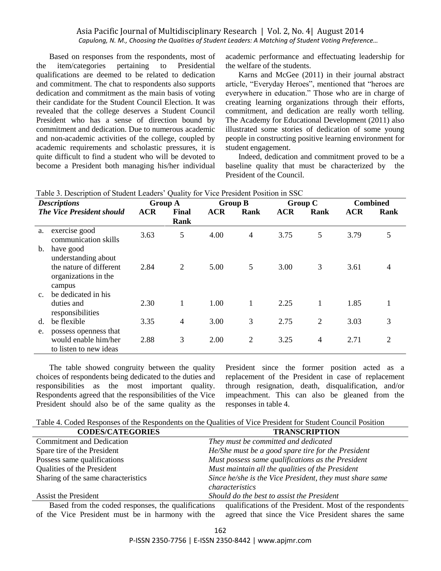Based on responses from the respondents, most of the item/categories pertaining to Presidential qualifications are deemed to be related to dedication and commitment. The chat to respondents also supports dedication and commitment as the main basis of voting their candidate for the Student Council Election. It was revealed that the college deserves a Student Council President who has a sense of direction bound by commitment and dedication. Due to numerous academic and non-academic activities of the college, coupled by academic requirements and scholastic pressures, it is quite difficult to find a student who will be devoted to become a President both managing his/her individual academic performance and effectuating leadership for the welfare of the students.

Karns and McGee (2011) in their journal abstract article, "Everyday Heroes", mentioned that "heroes are everywhere in education." Those who are in charge of creating learning organizations through their efforts, commitment, and dedication are really worth telling. The Academy for Educational Development (2011) also illustrated some stories of dedication of some young people in constructing positive learning environment for student engagement.

Indeed, dedication and commitment proved to be a baseline quality that must be characterized by the President of the Council.

|                | rable 5. Description of Student Leaders Quality for vice President Position in SSC            |            |                |            |                |            |                |            |                 |
|----------------|-----------------------------------------------------------------------------------------------|------------|----------------|------------|----------------|------------|----------------|------------|-----------------|
|                | <b>Descriptions</b>                                                                           |            | <b>Group A</b> |            | <b>Group B</b> |            | <b>Group C</b> |            | <b>Combined</b> |
|                | <b>The Vice President should</b>                                                              | <b>ACR</b> | <b>Final</b>   | <b>ACR</b> | Rank           | <b>ACR</b> | <b>Rank</b>    | <b>ACR</b> | <b>Rank</b>     |
|                |                                                                                               |            | Rank           |            |                |            |                |            |                 |
| a.             | exercise good<br>communication skills                                                         | 3.63       | 5              | 4.00       | 4              | 3.75       | 5              | 3.79       | 5               |
| b.             | have good<br>understanding about<br>the nature of different<br>organizations in the<br>campus | 2.84       | $\overline{2}$ | 5.00       | 5              | 3.00       | 3              | 3.61       | 4               |
| $\mathbf{c}$ . | be dedicated in his<br>duties and<br>responsibilities                                         | 2.30       |                | 1.00       |                | 2.25       | 1              | 1.85       | 1               |
| d.             | be flexible                                                                                   | 3.35       | 4              | 3.00       | 3              | 2.75       | $\overline{2}$ | 3.03       | 3               |
| e.             | possess openness that<br>would enable him/her<br>to listen to new ideas                       | 2.88       | 3              | 2.00       | $\overline{2}$ | 3.25       | $\overline{4}$ | 2.71       | $\overline{2}$  |

Table 3. Description of Student Leaders' Quality for Vice President Position in SSC

The table showed congruity between the quality choices of respondents being dedicated to the duties and responsibilities as the most important quality. Respondents agreed that the responsibilities of the Vice President should also be of the same quality as the President since the former position acted as a replacement of the President in case of replacement through resignation, death, disqualification, and/or impeachment. This can also be gleaned from the responses in table 4.

Table 4. Coded Responses of the Respondents on the Qualities of Vice President for Student Council Position

| <b>CODES/CATEGORIES</b>             | <b>TRANSCRIPTION</b>                                     |
|-------------------------------------|----------------------------------------------------------|
| <b>Commitment and Dedication</b>    | They must be committed and dedicated                     |
| Spare tire of the President         | He/She must be a good spare tire for the President       |
| Possess same qualifications         | Must possess same qualifications as the President        |
| Qualities of the President          | Must maintain all the qualities of the President         |
| Sharing of the same characteristics | Since he/she is the Vice President, they must share same |
|                                     | characteristics                                          |
| Assist the President                | Should do the best to assist the President               |

Based from the coded responses, the qualifications of the Vice President must be in harmony with the qualifications of the President. Most of the respondents agreed that since the Vice President shares the same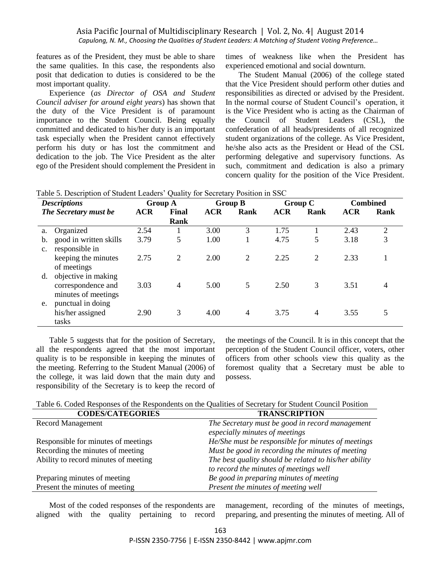features as of the President, they must be able to share the same qualities. In this case, the respondents also posit that dedication to duties is considered to be the most important quality.

Experience (*as Director of OSA and Student Council adviser for around eight years*) has shown that the duty of the Vice President is of paramount importance to the Student Council. Being equally committed and dedicated to his/her duty is an important task especially when the President cannot effectively perform his duty or has lost the commitment and dedication to the job. The Vice President as the alter ego of the President should complement the President in times of weakness like when the President has experienced emotional and social downturn.

The Student Manual (2006) of the college stated that the Vice President should perform other duties and responsibilities as directed or advised by the President. In the normal course of Student Council's operation, it is the Vice President who is acting as the Chairman of the Council of Student Leaders (CSL), the confederation of all heads/presidents of all recognized student organizations of the college. As Vice President, he/she also acts as the President or Head of the CSL performing delegative and supervisory functions. As such, commitment and dedication is also a primary concern quality for the position of the Vice President.

| <b>Descriptions</b>              |            | <b>Group A</b> |            | <b>Group B</b> |            | <b>Group C</b> |            | <b>Combined</b> |
|----------------------------------|------------|----------------|------------|----------------|------------|----------------|------------|-----------------|
| <b>The Secretary must be</b>     | <b>ACR</b> | Final          | <b>ACR</b> | Rank           | <b>ACR</b> | Rank           | <b>ACR</b> | Rank            |
|                                  |            | <b>Rank</b>    |            |                |            |                |            |                 |
| Organized<br>a.                  | 2.54       |                | 3.00       | 3              | 1.75       |                | 2.43       | 2               |
| good in written skills<br>b.     | 3.79       | 5              | 1.00       |                | 4.75       | 5              | 3.18       | 3               |
| responsible in<br>$\mathbf{c}$ . |            |                |            |                |            |                |            |                 |
| keeping the minutes              | 2.75       | 2              | 2.00       | 2              | 2.25       | 2              | 2.33       |                 |
| of meetings                      |            |                |            |                |            |                |            |                 |
| objective in making<br>d.        |            |                |            |                |            |                |            |                 |
| correspondence and               | 3.03       | 4              | 5.00       | 5              | 2.50       | 3              | 3.51       | 4               |
| minutes of meetings              |            |                |            |                |            |                |            |                 |
| punctual in doing<br>e.          |            |                |            |                |            |                |            |                 |
| his/her assigned                 | 2.90       | 3              | 4.00       | $\overline{4}$ | 3.75       | $\overline{4}$ | 3.55       | 5               |
| tasks                            |            |                |            |                |            |                |            |                 |

Table 5. Description of Student Leaders' Quality for Secretary Position in SSC

Table 5 suggests that for the position of Secretary, all the respondents agreed that the most important quality is to be responsible in keeping the minutes of the meeting. Referring to the Student Manual (2006) of the college, it was laid down that the main duty and responsibility of the Secretary is to keep the record of the meetings of the Council. It is in this concept that the perception of the Student Council officer, voters, other officers from other schools view this quality as the foremost quality that a Secretary must be able to possess.

|  | Table 6. Coded Responses of the Respondents on the Qualities of Secretary for Student Council Position |  |  |  |  |
|--|--------------------------------------------------------------------------------------------------------|--|--|--|--|
|--|--------------------------------------------------------------------------------------------------------|--|--|--|--|

| <b>TRANSCRIPTION</b>                                  |
|-------------------------------------------------------|
| The Secretary must be good in record management       |
| especially minutes of meetings                        |
| He/She must be responsible for minutes of meetings    |
| Must be good in recording the minutes of meeting      |
| The best quality should be related to his/her ability |
| to record the minutes of meetings well                |
| Be good in preparing minutes of meeting               |
| Present the minutes of meeting well                   |
|                                                       |

Most of the coded responses of the respondents are aligned with the quality pertaining to record

management, recording of the minutes of meetings, preparing, and presenting the minutes of meeting. All of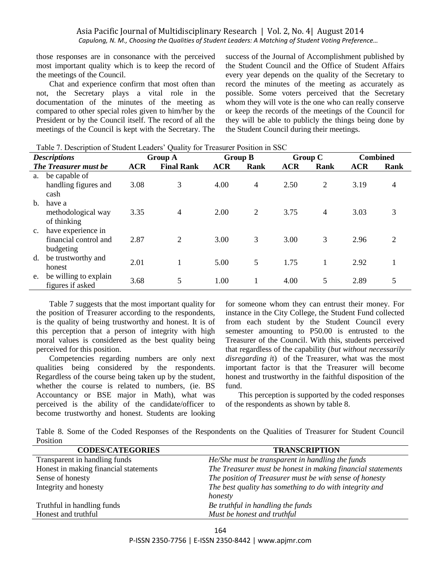those responses are in consonance with the perceived most important quality which is to keep the record of the meetings of the Council.

Chat and experience confirm that most often than not, the Secretary plays a vital role in the documentation of the minutes of the meeting as compared to other special roles given to him/her by the President or by the Council itself. The record of all the meetings of the Council is kept with the Secretary. The success of the Journal of Accomplishment published by the Student Council and the Office of Student Affairs every year depends on the quality of the Secretary to record the minutes of the meeting as accurately as possible. Some voters perceived that the Secretary whom they will vote is the one who can really conserve or keep the records of the meetings of the Council for they will be able to publicly the things being done by the Student Council during their meetings.

|                | rable 7. Description of Student Leagers Quanty for Freasurer Position in SSC |            |                   |            |                |            |                |            |                 |
|----------------|------------------------------------------------------------------------------|------------|-------------------|------------|----------------|------------|----------------|------------|-----------------|
|                | <b>Descriptions</b>                                                          |            | Group A           |            | <b>Group B</b> |            | Group C        |            | <b>Combined</b> |
|                | <b>The Treasurer must be</b>                                                 | <b>ACR</b> | <b>Final Rank</b> | <b>ACR</b> | Rank           | <b>ACR</b> | Rank           | <b>ACR</b> | Rank            |
| a.             | be capable of<br>handling figures and                                        | 3.08       | 3                 | 4.00       | $\overline{4}$ | 2.50       | $\overline{2}$ | 3.19       | $\overline{4}$  |
| $\mathbf{b}$ . | cash<br>have a<br>methodological way<br>of thinking                          | 3.35       | 4                 | 2.00       | 2              | 3.75       | $\overline{4}$ | 3.03       | 3               |
|                | have experience in<br>financial control and<br>budgeting                     | 2.87       | $\overline{2}$    | 3.00       | 3              | 3.00       | 3              | 2.96       | 2               |
| d.             | be trustworthy and<br>honest                                                 | 2.01       |                   | 5.00       | 5              | 1.75       |                | 2.92       |                 |
| e.             | be willing to explain<br>figures if asked                                    | 3.68       | 5                 | 1.00       |                | 4.00       | 5              | 2.89       | 5               |

Table 7. Description of Student Leaders' Quality for Treasurer Position in SSC

Table 7 suggests that the most important quality for the position of Treasurer according to the respondents, is the quality of being trustworthy and honest. It is of this perception that a person of integrity with high moral values is considered as the best quality being perceived for this position.

Competencies regarding numbers are only next qualities being considered by the respondents. Regardless of the course being taken up by the student, whether the course is related to numbers, (ie. BS Accountancy or BSE major in Math), what was perceived is the ability of the candidate/officer to become trustworthy and honest. Students are looking for someone whom they can entrust their money. For instance in the City College, the Student Fund collected from each student by the Student Council every semester amounting to P50.00 is entrusted to the Treasurer of the Council. With this, students perceived that regardless of the capability (*but without necessarily disregarding i*t) of the Treasurer, what was the most important factor is that the Treasurer will become honest and trustworthy in the faithful disposition of the fund.

This perception is supported by the coded responses of the respondents as shown by table 8.

Table 8. Some of the Coded Responses of the Respondents on the Qualities of Treasurer for Student Council Position

| <b>CODES/CATEGORIES</b>               | <b>TRANSCRIPTION</b>                                        |
|---------------------------------------|-------------------------------------------------------------|
| Transparent in handling funds         | He/She must be transparent in handling the funds            |
| Honest in making financial statements | The Treasurer must be honest in making financial statements |
| Sense of honesty                      | The position of Treasurer must be with sense of honesty     |
| Integrity and honesty                 | The best quality has something to do with integrity and     |
|                                       | honesty                                                     |
| Truthful in handling funds            | Be truthful in handling the funds                           |
| Honest and truthful                   | Must be honest and truthful                                 |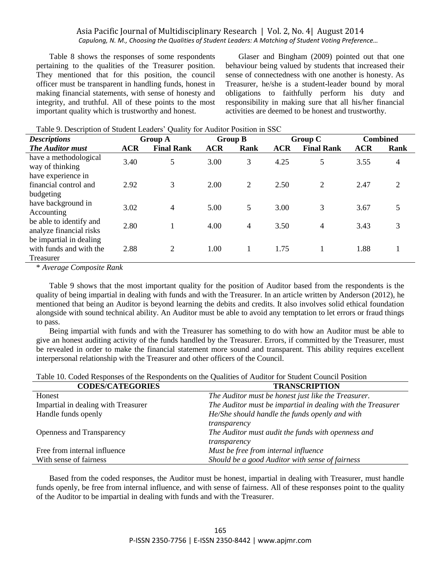Table 8 shows the responses of some respondents pertaining to the qualities of the Treasurer position. They mentioned that for this position, the council officer must be transparent in handling funds, honest in making financial statements, with sense of honesty and integrity, and truthful. All of these points to the most important quality which is trustworthy and honest.

Glaser and Bingham (2009) pointed out that one behaviour being valued by students that increased their sense of connectedness with one another is honesty. As Treasurer, he/she is a student-leader bound by moral obligations to faithfully perform his duty and responsibility in making sure that all his/her financial activities are deemed to be honest and trustworthy.

| <b>Descriptions</b>                                |            | ∼<br><b>Group A</b> |            | <b>Group B</b> |            | Group C           | <b>Combined</b> |             |
|----------------------------------------------------|------------|---------------------|------------|----------------|------------|-------------------|-----------------|-------------|
| <b>The Auditor must</b>                            | <b>ACR</b> | <b>Final Rank</b>   | <b>ACR</b> | Rank           | <b>ACR</b> | <b>Final Rank</b> | <b>ACR</b>      | <b>Rank</b> |
| have a methodological<br>way of thinking           | 3.40       | 5                   | 3.00       | 3              | 4.25       | 5                 | 3.55            | 4           |
| have experience in                                 |            |                     |            |                |            |                   |                 |             |
| financial control and                              | 2.92       | 3                   | 2.00       | 2              | 2.50       | 2                 | 2.47            | 2           |
| budgeting                                          |            |                     |            |                |            |                   |                 |             |
| have background in                                 | 3.02       | 4                   | 5.00       | 5              | 3.00       | 3                 | 3.67            | 5           |
| Accounting                                         |            |                     |            |                |            |                   |                 |             |
| be able to identify and<br>analyze financial risks | 2.80       |                     | 4.00       | $\overline{4}$ | 3.50       | $\overline{4}$    | 3.43            | 3           |
| be impartial in dealing.                           |            |                     |            |                |            |                   |                 |             |
| with funds and with the                            | 2.88       | 2                   | 1.00       | 1              | 1.75       |                   | 1.88            |             |
| Treasurer                                          |            |                     |            |                |            |                   |                 |             |

Table 9. Description of Student Leaders' Quality for Auditor Position in SSC

\* *Average Composite Rank*

Table 9 shows that the most important quality for the position of Auditor based from the respondents is the quality of being impartial in dealing with funds and with the Treasurer. In an article written by Anderson (2012), he mentioned that being an Auditor is beyond learning the debits and credits. It also involves solid ethical foundation alongside with sound technical ability. An Auditor must be able to avoid any temptation to let errors or fraud things to pass.

Being impartial with funds and with the Treasurer has something to do with how an Auditor must be able to give an honest auditing activity of the funds handled by the Treasurer. Errors, if committed by the Treasurer, must be revealed in order to make the financial statement more sound and transparent. This ability requires excellent interpersonal relationship with the Treasurer and other officers of the Council.

Table 10. Coded Responses of the Respondents on the Qualities of Auditor for Student Council Position

| <b>CODES/CATEGORIES</b>             | <b>TRANSCRIPTION</b>                                        |
|-------------------------------------|-------------------------------------------------------------|
| Honest                              | The Auditor must be honest just like the Treasurer.         |
| Impartial in dealing with Treasurer | The Auditor must be impartial in dealing with the Treasurer |
| Handle funds openly                 | He/She should handle the funds openly and with              |
|                                     | transparency                                                |
| <b>Openness and Transparency</b>    | The Auditor must audit the funds with openness and          |
|                                     | transparency                                                |
| Free from internal influence        | Must be free from internal influence                        |
| With sense of fairness              | Should be a good Auditor with sense of fairness             |

Based from the coded responses, the Auditor must be honest, impartial in dealing with Treasurer, must handle funds openly, be free from internal influence, and with sense of fairness. All of these responses point to the quality of the Auditor to be impartial in dealing with funds and with the Treasurer.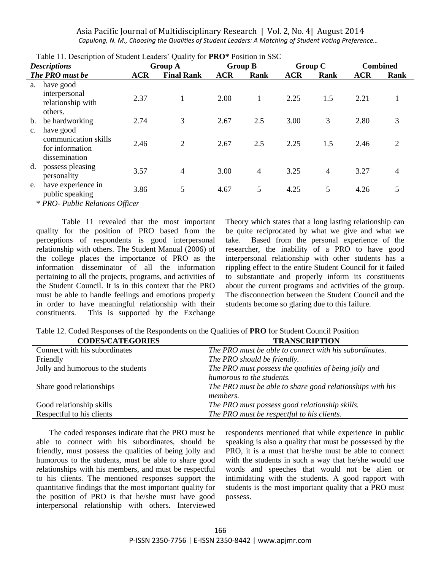| <b>Descriptions</b>  |                                                            | Lable 11. Description of Buddent Ecaders Quality for <b>T NO</b> Tostable in SSC<br><b>Group A</b> |                   | <b>Group B</b> |                | Group C    |      | <b>Combined</b> |                |
|----------------------|------------------------------------------------------------|----------------------------------------------------------------------------------------------------|-------------------|----------------|----------------|------------|------|-----------------|----------------|
|                      | The PRO must be                                            | <b>ACR</b>                                                                                         | <b>Final Rank</b> | <b>ACR</b>     | Rank           | <b>ACR</b> | Rank | <b>ACR</b>      | <b>Rank</b>    |
| a.                   | have good<br>interpersonal<br>relationship with<br>others. | 2.37                                                                                               |                   | 2.00           | 1              | 2.25       | 1.5  | 2.21            |                |
| b.<br>$\mathbf{c}$ . | be hardworking<br>have good                                | 2.74                                                                                               | 3                 | 2.67           | 2.5            | 3.00       | 3    | 2.80            | 3              |
|                      | communication skills<br>for information<br>dissemination   | 2.46                                                                                               | 2                 | 2.67           | 2.5            | 2.25       | 1.5  | 2.46            | $\overline{2}$ |
| d.                   | possess pleasing<br>personality                            | 3.57                                                                                               | 4                 | 3.00           | $\overline{4}$ | 3.25       | 4    | 3.27            | $\overline{4}$ |
|                      | have experience in<br>public speaking                      | 3.86                                                                                               | 5                 | 4.67           | 5              | 4.25       | 5    | 4.26            | 5              |

| Table 11. Description of Student Leaders' Quality for <b>PRO</b> * Position in SSC |  |  |  |  |  |
|------------------------------------------------------------------------------------|--|--|--|--|--|
|------------------------------------------------------------------------------------|--|--|--|--|--|

\* *PRO- Public Relations Officer*

Table 11 revealed that the most important quality for the position of PRO based from the perceptions of respondents is good interpersonal relationship with others. The Student Manual (2006) of the college places the importance of PRO as the information disseminator of all the information pertaining to all the projects, programs, and activities of the Student Council. It is in this context that the PRO must be able to handle feelings and emotions properly in order to have meaningful relationship with their constituents. This is supported by the Exchange

Theory which states that a long lasting relationship can be quite reciprocated by what we give and what we take. Based from the personal experience of the researcher, the inability of a PRO to have good interpersonal relationship with other students has a rippling effect to the entire Student Council for it failed to substantiate and properly inform its constituents about the current programs and activities of the group. The disconnection between the Student Council and the students become so glaring due to this failure.

Table 12. Coded Responses of the Respondents on the Qualities of **PRO** for Student Council Position

| <b>CODES/CATEGORIES</b>            | <b>TRANSCRIPTION</b>                                      |
|------------------------------------|-----------------------------------------------------------|
| Connect with his subordinates      | The PRO must be able to connect with his subordinates.    |
| Friendly                           | The PRO should be friendly.                               |
| Jolly and humorous to the students | The PRO must possess the qualities of being jolly and     |
|                                    | humorous to the students.                                 |
| Share good relationships           | The PRO must be able to share good relationships with his |
|                                    | <i>members.</i>                                           |
| Good relationship skills           | The PRO must possess good relationship skills.            |
| Respectful to his clients          | The PRO must be respectful to his clients.                |

The coded responses indicate that the PRO must be able to connect with his subordinates, should be friendly, must possess the qualities of being jolly and humorous to the students, must be able to share good relationships with his members, and must be respectful to his clients. The mentioned responses support the quantitative findings that the most important quality for the position of PRO is that he/she must have good interpersonal relationship with others. Interviewed respondents mentioned that while experience in public speaking is also a quality that must be possessed by the PRO, it is a must that he/she must be able to connect with the students in such a way that he/she would use words and speeches that would not be alien or intimidating with the students. A good rapport with students is the most important quality that a PRO must possess.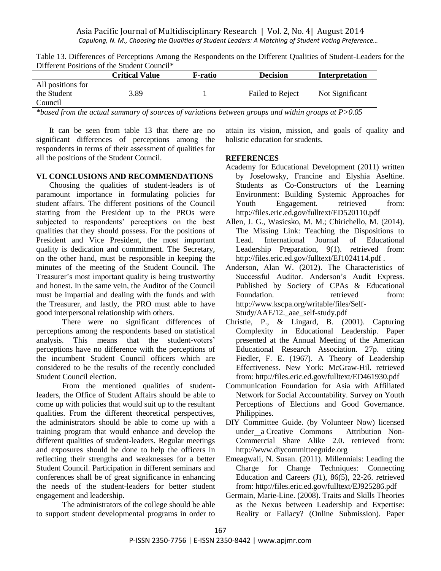|                                             | <b>Critical Value</b> | F-ratio | <b>Decision</b>         | Interpretation  |
|---------------------------------------------|-----------------------|---------|-------------------------|-----------------|
| All positions for<br>the Student<br>Council | 3.89                  |         | <b>Failed to Reject</b> | Not Significant |

Table 13. Differences of Perceptions Among the Respondents on the Different Qualities of Student-Leaders for the Different Positions of the Student Council\*

*\*based from the actual summary of sources of variations between groups and within groups at P>0.05*

It can be seen from table 13 that there are no significant differences of perceptions among the respondents in terms of their assessment of qualities for all the positions of the Student Council.

## **VI. CONCLUSIONS AND RECOMMENDATIONS**

Choosing the qualities of student-leaders is of paramount importance in formulating policies for student affairs. The different positions of the Council starting from the President up to the PROs were subjected to respondents' perceptions on the best qualities that they should possess. For the positions of President and Vice President, the most important quality is dedication and commitment. The Secretary, on the other hand, must be responsible in keeping the minutes of the meeting of the Student Council. The Treasurer's most important quality is being trustworthy and honest. In the same vein, the Auditor of the Council must be impartial and dealing with the funds and with the Treasurer, and lastly, the PRO must able to have good interpersonal relationship with others.

There were no significant differences of perceptions among the respondents based on statistical analysis. This means that the student-voters' perceptions have no difference with the perceptions of the incumbent Student Council officers which are considered to be the results of the recently concluded Student Council election.

From the mentioned qualities of studentleaders, the Office of Student Affairs should be able to come up with policies that would suit up to the resultant qualities. From the different theoretical perspectives, the administrators should be able to come up with a training program that would enhance and develop the different qualities of student-leaders. Regular meetings and exposures should be done to help the officers in reflecting their strengths and weaknesses for a better Student Council. Participation in different seminars and conferences shall be of great significance in enhancing the needs of the student-leaders for better student engagement and leadership.

The administrators of the college should be able to support student developmental programs in order to

attain its vision, mission, and goals of quality and holistic education for students.

## **REFERENCES**

- Academy for Educational Development (2011) written by Joselowsky, Francine and Elyshia Aseltine. Students as Co-Constructors of the Learning Environment: Building Systemic Approaches for Youth Engagement. retrieved from: http://files.eric.ed.gov/fulltext/ED520110.pdf
- Allen, J. G., Wasicsko, M. M.; Chirichello, M. (2014). The Missing Link: Teaching the Dispositions to Lead. International Journal of Educational Leadership Preparation, 9(1). retrieved from: http://files.eric.ed.gov/fulltext/EJ1024114.pdf .
- Anderson, Alan W. (2012). The Characteristics of Successful Auditor. Anderson's Audit Express. Published by Society of CPAs & Educational Foundation. The retrieved from: http://www.kscpa.org/writable/files/Self-Study/AAE/12.\_aae\_self-study.pdf
- Christie, P., & Lingard, B. (2001). Capturing Complexity in Educational Leadership. Paper presented at the Annual Meeting of the American Educational Research Association. 27p. citing Fiedler, F. E. (1967). A Theory of Leadership Effectiveness. New York: McGraw-Hil. retrieved from: http://files.eric.ed.gov/fulltext/ED461930.pdf
- Communication Foundation for Asia with Affiliated Network for Social Accountability. Survey on Youth Perceptions of Elections and Good Governance. Philippines.
- DIY Committee Guide. (by [Volunteer Now\)](http://www.volunteernow.co.uk/) licensed under a [Creative Commons Attribution Non-](http://creativecommons.org/licenses/by-nc-sa/2.0/)[Commercial Share Alike 2.0.](http://creativecommons.org/licenses/by-nc-sa/2.0/) retrieved from: http://www.diycommitteeguide.org
- Emeagwali, N. Susan. (2011). Millennials: Leading the Charge for Change Techniques: Connecting Education and Careers (J1), 86(5), 22-26. retrieved from: http://files.eric.ed.gov/fulltext/EJ925286.pdf
- Germain, Marie-Line. (2008). Traits and Skills Theories as the Nexus between Leadership and Expertise: Reality or Fallacy? (Online Submission). Paper